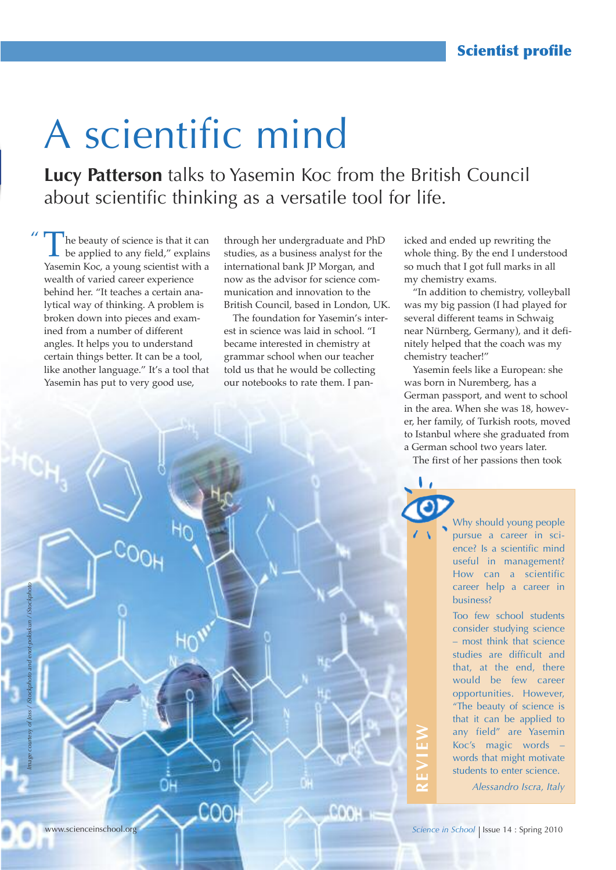# A scientific mind

**Lucy Patterson** talks to Yasemin Koc from the British Council about scientific thinking as a versatile tool for life.

The beauty of science is that it can<br>be applied to any field," explains<br>Yearnin Kee, a verme existing with a Yasemin Koc, a young scientist with a wealth of varied career experience behind her. "It teaches a certain analytical way of thinking. A problem is broken down into pieces and examined from a number of different angles. It helps you to understand certain things better. It can be a tool, like another language." It's a tool that Yasemin has put to very good use,

 $\overline{u}$ 

through her undergraduate and PhD studies, as a business analyst for the international bank JP Morgan, and now as the advisor for science communication and innovation to the British Council, based in London, UK.

The foundation for Yasemin's interest in science was laid in school. "I became interested in chemistry at grammar school when our teacher told us that he would be collecting our notebooks to rate them. I panicked and ended up rewriting the whole thing. By the end I understood so much that I got full marks in all my chemistry exams.

"In addition to chemistry, volleyball was my big passion (I had played for several different teams in Schwaig near Nürnberg, Germany), and it definitely helped that the coach was my chemistry teacher!"

Yasemin feels like a European: she was born in Nuremberg, has a German passport, and went to school in the area. When she was 18, however, her family, of Turkish roots, moved to Istanbul where she graduated from a German school two years later.

The first of her passions then took

Why should young people pursue a career in science? Is a scientific mind useful in management? How can a scientific career help a career in business?

Too few school students consider studying science – most think that science studies are difficult and that, at the end, there would be few career opportunities. However, "The beauty of science is that it can be applied to any field" are Yasemin Koc's magic words – words that might motivate students to enter science.

*Alessandro Iscra, Italy*

**R**

**EvIE**

**W**



*Image courtesy of Joss / iStockphoto and enot-poloskun / iStockphoto*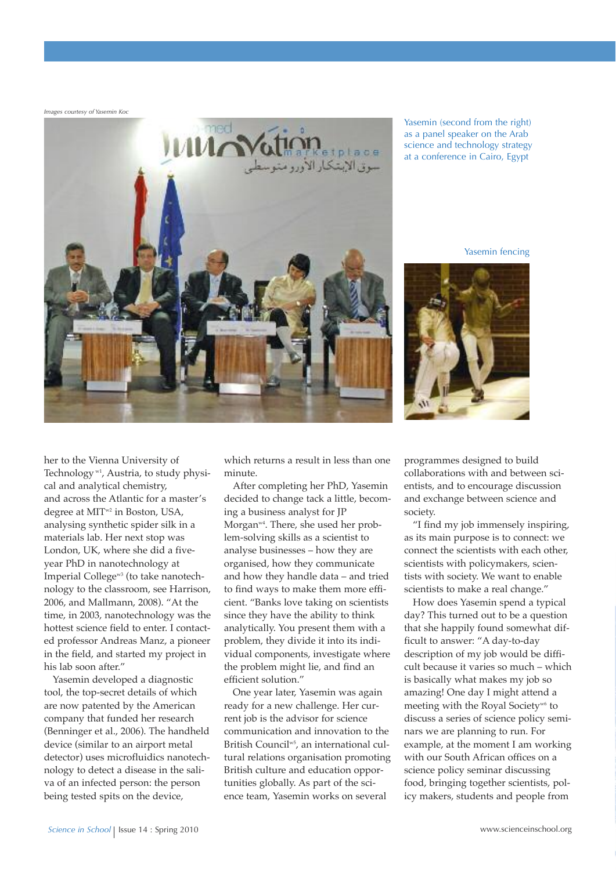*Images courtesy of Yasemin Koc*



Yasemin (second from the right) as a panel speaker on the Arab science and technology strategy at a conference in Cairo, Egypt

Yasemin fencing



her to the Vienna University of Technology w1 , Austria, to study physical and analytical chemistry, and across the Atlantic for a master's degree at MIT<sup>w2</sup> in Boston, USA, analysing synthetic spider silk in a materials lab. Her next stop was London, UK, where she did a fiveyear PhD in nanotechnology at Imperial Collegew3 (to take nanotechnology to the classroom, see Harrison, 2006, and Mallmann, 2008). "At the time, in 2003, nanotechnology was the hottest science field to enter. I contacted professor Andreas Manz, a pioneer in the field, and started my project in his lab soon after."

Yasemin developed a diagnostic tool, the top-secret details of which are now patented by the American company that funded her research (Benninger et al., 2006). The handheld device (similar to an airport metal detector) uses microfluidics nanotechnology to detect a disease in the saliva of an infected person: the person being tested spits on the device,

which returns a result in less than one minute.

After completing her PhD, Yasemin decided to change tack a little, becoming a business analyst for JP Morganw4 . There, she used her problem-solving skills as a scientist to analyse businesses – how they are organised, how they communicate and how they handle data – and tried to find ways to make them more efficient. "Banks love taking on scientists since they have the ability to think analytically. You present them with a problem, they divide it into its individual components, investigate where the problem might lie, and find an efficient solution."

One year later, Yasemin was again ready for a new challenge. Her current job is the advisor for science communication and innovation to the British Council w5 , an international cultural relations organisation promoting British culture and education opportunities globally. As part of the science team, Yasemin works on several

programmes designed to build collaborations with and between scientists, and to encourage discussion and exchange between science and society.

"I find my job immensely inspiring, as its main purpose is to connect: we connect the scientists with each other, scientists with policymakers, scientists with society. We want to enable scientists to make a real change."

How does Yasemin spend a typical day? This turned out to be a question that she happily found somewhat difficult to answer: "A day-to-day description of my job would be difficult because it varies so much – which is basically what makes my job so amazing! One day I might attend a meeting with the Royal Society<sup>w6</sup> to discuss a series of science policy seminars we are planning to run. For example, at the moment I am working with our South African offices on a science policy seminar discussing food, bringing together scientists, policy makers, students and people from